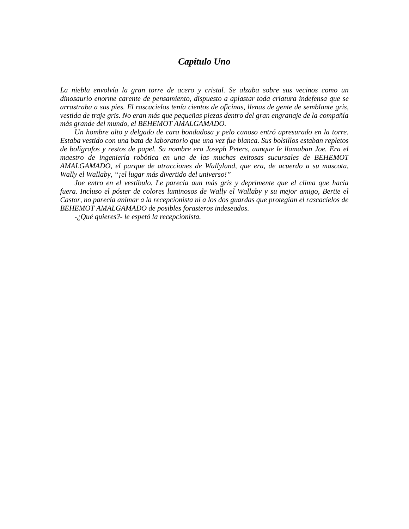## *Capítulo Uno*

*La niebla envolvía la gran torre de acero y cristal. Se alzaba sobre sus vecinos como un dinosaurio enorme carente de pensamiento, dispuesto a aplastar toda criatura indefensa que se arrastraba a sus pies. El rascacielos tenía cientos de oficinas, llenas de gente de semblante gris, vestida de traje gris. No eran más que pequeñas piezas dentro del gran engranaje de la compañía más grande del mundo, el BEHEMOT AMALGAMADO.*

*Un hombre alto y delgado de cara bondadosa y pelo canoso entró apresurado en la torre. Estaba vestido con una bata de laboratorio que una vez fue blanca. Sus bolsillos estaban repletos de bolígrafos y restos de papel. Su nombre era Joseph Peters, aunque le llamaban Joe. Era el maestro de ingeniería robótica en una de las muchas exitosas sucursales de BEHEMOT AMALGAMADO, el parque de atracciones de Wallyland, que era, de acuerdo a su mascota, Wally el Wallaby, "¡el lugar más divertido del universo!"*

*Joe entro en el vestíbulo. Le parecía aun más gris y deprimente que el clima que hacía fuera. Incluso el póster de colores luminosos de Wally el Wallaby y su mejor amigo, Bertie el Castor, no parecía animar a la recepcionista ni a los dos guardas que protegían el rascacielos de BEHEMOT AMALGAMADO de posibles forasteros indeseados.*

*-¿Qué quieres?- le espetó la recepcionista.*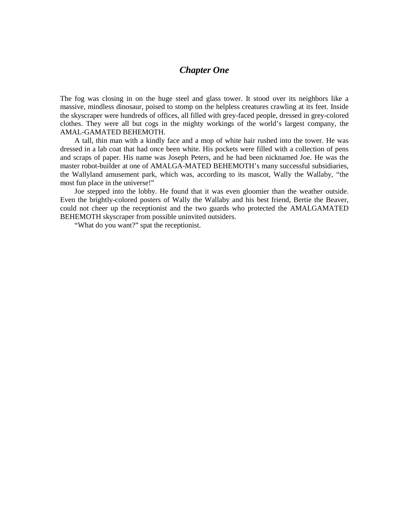## *Chapter One*

The fog was closing in on the huge steel and glass tower. It stood over its neighbors like a massive, mindless dinosaur, poised to stomp on the helpless creatures crawling at its feet. Inside the skyscraper were hundreds of offices, all filled with grey-faced people, dressed in grey-colored clothes. They were all but cogs in the mighty workings of the world's largest company, the AMAL-GAMATED BEHEMOTH.

A tall, thin man with a kindly face and a mop of white hair rushed into the tower. He was dressed in a lab coat that had once been white. His pockets were filled with a collection of pens and scraps of paper. His name was Joseph Peters, and he had been nicknamed Joe. He was the master robot-builder at one of AMALGA-MATED BEHEMOTH's many successful subsidiaries, the Wallyland amusement park, which was, according to its mascot, Wally the Wallaby, "the most fun place in the universe!"

Joe stepped into the lobby. He found that it was even gloomier than the weather outside. Even the brightly-colored posters of Wally the Wallaby and his best friend, Bertie the Beaver, could not cheer up the receptionist and the two guards who protected the AMALGAMATED BEHEMOTH skyscraper from possible uninvited outsiders.

"What do you want?" spat the receptionist.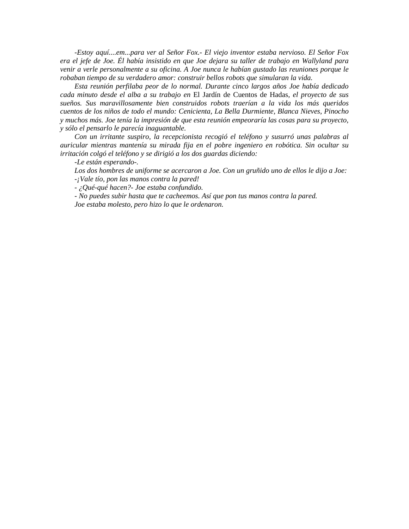*-Estoy aquí....em...para ver al Señor Fox.- El viejo inventor estaba nervioso. El Señor Fox era el jefe de Joe. Él había insistido en que Joe dejara su taller de trabajo en Wallyland para venir a verle personalmente a su oficina. A Joe nunca le habían gustado las reuniones porque le robaban tiempo de su verdadero amor: construir bellos robots que simularan la vida.*

*Esta reunión perfilaba peor de lo normal. Durante cinco largos años Joe había dedicado cada minuto desde el alba a su trabajo en* El Jardín de Cuentos de Hadas*, el proyecto de sus sueños. Sus maravillosamente bien construidos robots traerían a la vida los más queridos cuentos de los niños de todo el mundo: Cenicienta, La Bella Durmiente, Blanca Nieves, Pinocho y muchos más. Joe tenía la impresión de que esta reunión empeoraría las cosas para su proyecto, y sólo el pensarlo le parecía inaguantable.*

*Con un irritante suspiro, la recepcionista recogió el teléfono y susurró unas palabras al auricular mientras mantenía su mirada fija en el pobre ingeniero en robótica. Sin ocultar su irritación colgó el teléfono y se dirigió a los dos guardas diciendo:*

*-Le están esperando-.*

*Los dos hombres de uniforme se acercaron a Joe. Con un gruñido uno de ellos le dijo a Joe: -¡Vale tío, pon las manos contra la pared!*

*- ¿Qué-qué hacen?- Joe estaba confundido.*

*- No puedes subir hasta que te cacheemos. Así que pon tus manos contra la pared.*

*Joe estaba molesto, pero hizo lo que le ordenaron.*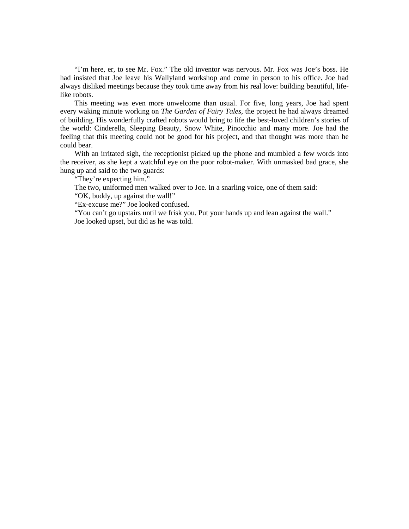"I'm here, er, to see Mr. Fox." The old inventor was nervous. Mr. Fox was Joe's boss. He had insisted that Joe leave his Wallyland workshop and come in person to his office. Joe had always disliked meetings because they took time away from his real love: building beautiful, lifelike robots.

This meeting was even more unwelcome than usual. For five, long years, Joe had spent every waking minute working on *The Garden of Fairy Tales*, the project he had always dreamed of building. His wonderfully crafted robots would bring to life the best-loved children's stories of the world: Cinderella, Sleeping Beauty, Snow White, Pinocchio and many more. Joe had the feeling that this meeting could not be good for his project, and that thought was more than he could bear.

With an irritated sigh, the receptionist picked up the phone and mumbled a few words into the receiver, as she kept a watchful eye on the poor robot-maker. With unmasked bad grace, she hung up and said to the two guards:

"They're expecting him."

The two, uniformed men walked over to Joe. In a snarling voice, one of them said:

"OK, buddy, up against the wall!"

"Ex-excuse me?" Joe looked confused.

"You can't go upstairs until we frisk you. Put your hands up and lean against the wall." Joe looked upset, but did as he was told.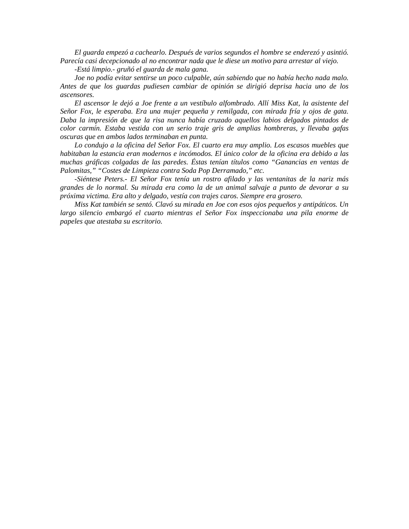*El guarda empezó a cachearlo. Después de varios segundos el hombre se enderezó y asintió. Parecía casi decepcionado al no encontrar nada que le diese un motivo para arrestar al viejo.*

*-Está limpio.- gruñó el guarda de mala gana.*

*Joe no podía evitar sentirse un poco culpable, aún sabiendo que no había hecho nada malo. Antes de que los guardas pudiesen cambiar de opinión se dirigió deprisa hacia uno de los ascensores.*

*El ascensor le dejó a Joe frente a un vestíbulo alfombrado. Allí Miss Kat, la asistente del Señor Fox, le esperaba. Era una mujer pequeña y remilgada, con mirada fría y ojos de gata. Daba la impresión de que la risa nunca había cruzado aquellos labios delgados pintados de color carmín. Estaba vestida con un serio traje gris de amplias hombreras, y llevaba gafas oscuras que en ambos lados terminaban en punta.*

*Lo condujo a la oficina del Señor Fox. El cuarto era muy amplio. Los escasos muebles que habitaban la estancia eran modernos e incómodos. El único color de la oficina era debido a las muchas gráficas colgadas de las paredes. Éstas tenían títulos como "Ganancias en ventas de Palomitas," "Costes de Limpieza contra Soda Pop Derramado," etc.*

*-Siéntese Peters.- El Señor Fox tenía un rostro afilado y las ventanitas de la nariz más grandes de lo normal. Su mirada era como la de un animal salvaje a punto de devorar a su próxima victima. Era alto y delgado, vestía con trajes caros. Siempre era grosero.*

*Miss Kat también se sentó. Clavó su mirada en Joe con esos ojos pequeños y antipáticos. Un largo silencio embargó el cuarto mientras el Señor Fox inspeccionaba una pila enorme de papeles que atestaba su escritorio.*